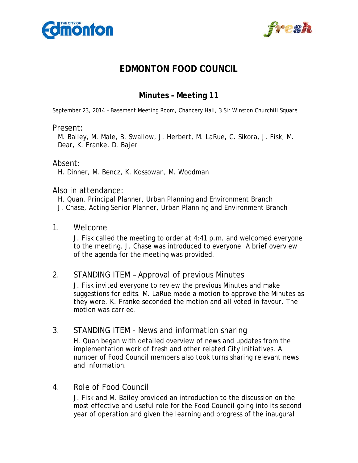



# **EDMONTON FOOD COUNCIL**

# **Minutes – Meeting 11**

September 23, 2014 – Basement Meeting Room, Chancery Hall, 3 Sir Winston Churchill Square

#### Present:

M. Bailey, M. Male, B. Swallow, J. Herbert, M. LaRue, C. Sikora, J. Fisk, M. Dear, K. Franke, D. Bajer

### Absent:

H. Dinner, M. Bencz, K. Kossowan, M. Woodman

#### Also in attendance:

- H. Quan, Principal Planner, Urban Planning and Environment Branch
- J. Chase, Acting Senior Planner, Urban Planning and Environment Branch

#### 1. Welcome

J. Fisk called the meeting to order at 4:41 p.m. and welcomed everyone to the meeting. J. Chase was introduced to everyone. A brief overview of the agenda for the meeting was provided.

### 2. STANDING ITEM – Approval of previous Minutes

J. Fisk invited everyone to review the previous Minutes and make suggestions for edits. M. LaRue made a motion to approve the Minutes as they were. K. Franke seconded the motion and all voted in favour. The motion was carried.

## 3. STANDING ITEM - News and information sharing

H. Quan began with detailed overview of news and updates from the implementation work of *fresh* and other related City initiatives. A number of Food Council members also took turns sharing relevant news and information.

### 4. Role of Food Council

J. Fisk and M. Bailey provided an introduction to the discussion on the most effective and useful role for the Food Council going into its second year of operation and given the learning and progress of the inaugural